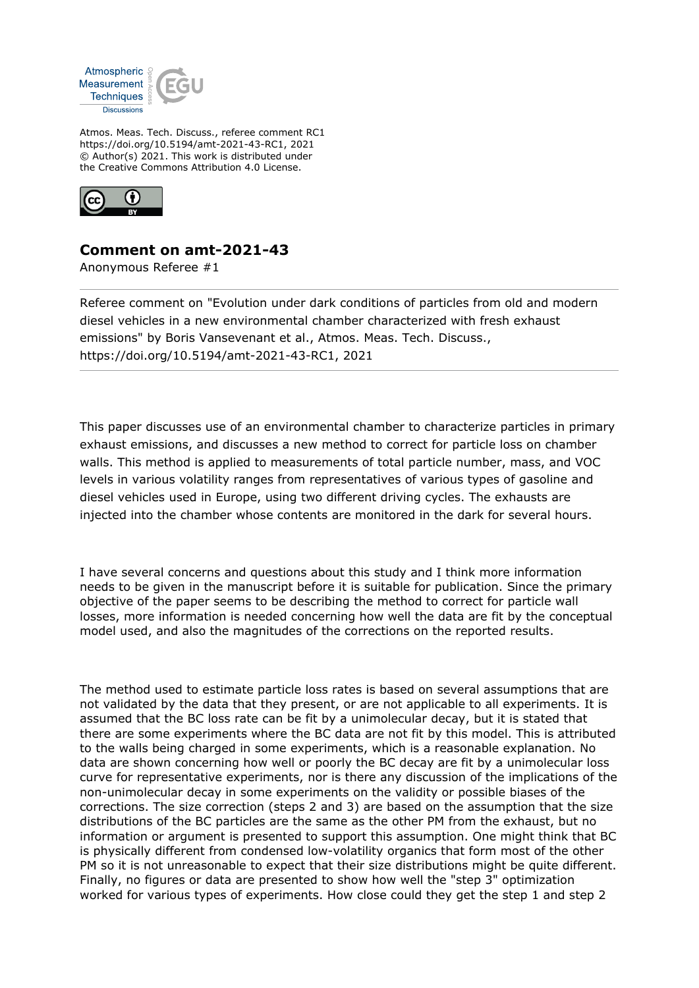

Atmos. Meas. Tech. Discuss., referee comment RC1 https://doi.org/10.5194/amt-2021-43-RC1, 2021 © Author(s) 2021. This work is distributed under the Creative Commons Attribution 4.0 License.



## **Comment on amt-2021-43**

Anonymous Referee #1

Referee comment on "Evolution under dark conditions of particles from old and modern diesel vehicles in a new environmental chamber characterized with fresh exhaust emissions" by Boris Vansevenant et al., Atmos. Meas. Tech. Discuss., https://doi.org/10.5194/amt-2021-43-RC1, 2021

This paper discusses use of an environmental chamber to characterize particles in primary exhaust emissions, and discusses a new method to correct for particle loss on chamber walls. This method is applied to measurements of total particle number, mass, and VOC levels in various volatility ranges from representatives of various types of gasoline and diesel vehicles used in Europe, using two different driving cycles. The exhausts are injected into the chamber whose contents are monitored in the dark for several hours.

I have several concerns and questions about this study and I think more information needs to be given in the manuscript before it is suitable for publication. Since the primary objective of the paper seems to be describing the method to correct for particle wall losses, more information is needed concerning how well the data are fit by the conceptual model used, and also the magnitudes of the corrections on the reported results.

The method used to estimate particle loss rates is based on several assumptions that are not validated by the data that they present, or are not applicable to all experiments. It is assumed that the BC loss rate can be fit by a unimolecular decay, but it is stated that there are some experiments where the BC data are not fit by this model. This is attributed to the walls being charged in some experiments, which is a reasonable explanation. No data are shown concerning how well or poorly the BC decay are fit by a unimolecular loss curve for representative experiments, nor is there any discussion of the implications of the non-unimolecular decay in some experiments on the validity or possible biases of the corrections. The size correction (steps 2 and 3) are based on the assumption that the size distributions of the BC particles are the same as the other PM from the exhaust, but no information or argument is presented to support this assumption. One might think that BC is physically different from condensed low-volatility organics that form most of the other PM so it is not unreasonable to expect that their size distributions might be quite different. Finally, no figures or data are presented to show how well the "step 3" optimization worked for various types of experiments. How close could they get the step 1 and step 2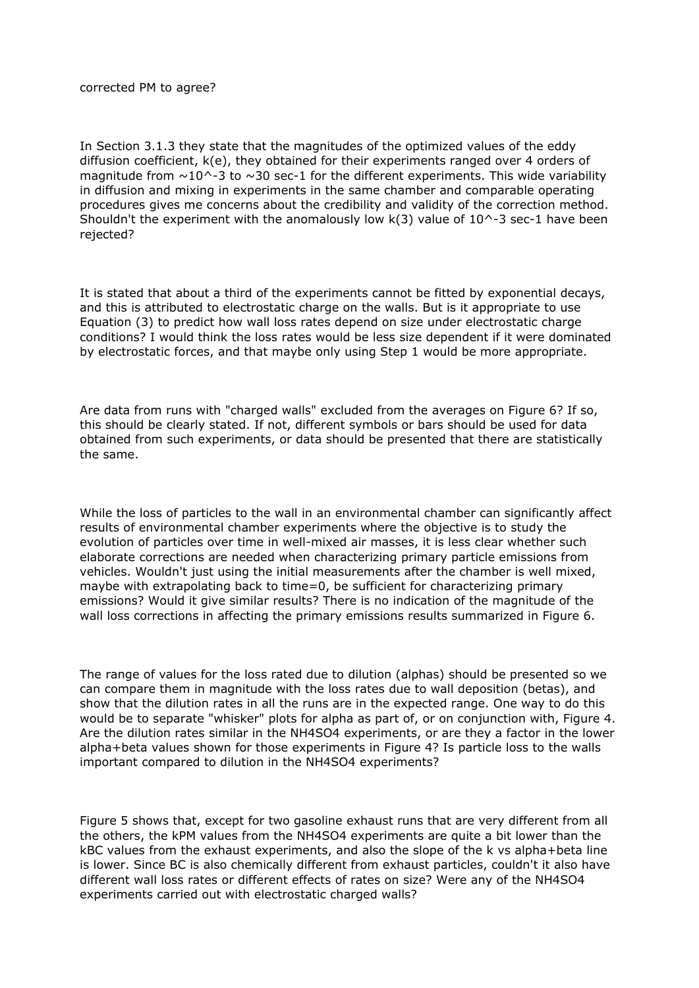## corrected PM to agree?

In Section 3.1.3 they state that the magnitudes of the optimized values of the eddy diffusion coefficient, k(e), they obtained for their experiments ranged over 4 orders of magnitude from  $\sim$ 10^-3 to  $\sim$ 30 sec-1 for the different experiments. This wide variability in diffusion and mixing in experiments in the same chamber and comparable operating procedures gives me concerns about the credibility and validity of the correction method. Shouldn't the experiment with the anomalously low  $k(3)$  value of  $10^{\circ}$ -3 sec-1 have been rejected?

It is stated that about a third of the experiments cannot be fitted by exponential decays, and this is attributed to electrostatic charge on the walls. But is it appropriate to use Equation (3) to predict how wall loss rates depend on size under electrostatic charge conditions? I would think the loss rates would be less size dependent if it were dominated by electrostatic forces, and that maybe only using Step 1 would be more appropriate.

Are data from runs with "charged walls" excluded from the averages on Figure 6? If so, this should be clearly stated. If not, different symbols or bars should be used for data obtained from such experiments, or data should be presented that there are statistically the same.

While the loss of particles to the wall in an environmental chamber can significantly affect results of environmental chamber experiments where the objective is to study the evolution of particles over time in well-mixed air masses, it is less clear whether such elaborate corrections are needed when characterizing primary particle emissions from vehicles. Wouldn't just using the initial measurements after the chamber is well mixed, maybe with extrapolating back to time=0, be sufficient for characterizing primary emissions? Would it give similar results? There is no indication of the magnitude of the wall loss corrections in affecting the primary emissions results summarized in Figure 6.

The range of values for the loss rated due to dilution (alphas) should be presented so we can compare them in magnitude with the loss rates due to wall deposition (betas), and show that the dilution rates in all the runs are in the expected range. One way to do this would be to separate "whisker" plots for alpha as part of, or on conjunction with, Figure 4. Are the dilution rates similar in the NH4SO4 experiments, or are they a factor in the lower alpha+beta values shown for those experiments in Figure 4? Is particle loss to the walls important compared to dilution in the NH4SO4 experiments?

Figure 5 shows that, except for two gasoline exhaust runs that are very different from all the others, the kPM values from the NH4SO4 experiments are quite a bit lower than the kBC values from the exhaust experiments, and also the slope of the k vs alpha+beta line is lower. Since BC is also chemically different from exhaust particles, couldn't it also have different wall loss rates or different effects of rates on size? Were any of the NH4SO4 experiments carried out with electrostatic charged walls?